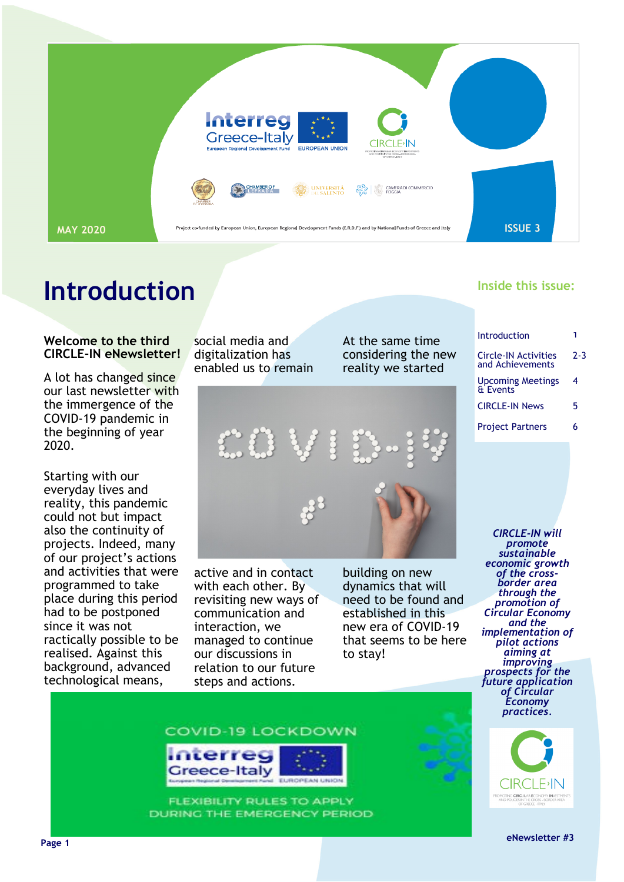

### **Introduction**

#### **Welcome to the third CIRCLE-IN eNewsletter!**

A lot has changed since our last newsletter with the immergence of the COVID-19 pandemic in the beginning of year 2020.

Starting with our everyday lives and reality, this pandemic could not but impact also the continuity of projects. Indeed, many of our project's actions and activities that were programmed to take place during this period had to be postponed since it was not ractically possible to be realised. Against this background, advanced technological means,

social media and digitalization has enabled us to remain At the same time considering the new reality we started



active and in contact with each other. By revisiting new ways of communication and interaction, we managed to continue our discussions in relation to our future steps and actions.

building on new dynamics that will need to be found and established in this new era of COVID-19 that seems to be here to stay!

#### **Inside this issue:**

| Introduction                                    |         |
|-------------------------------------------------|---------|
| <b>Circle-IN Activities</b><br>and Achievements | $2 - 3$ |
| <b>Upcoming Meetings</b><br><b>&amp; Events</b> | 4       |
| <b>CIRCLE-IN News</b>                           | 5       |
| <b>Project Partners</b>                         | 6       |
|                                                 |         |

*CIRCLE-IN will promote sustainable economic growth of the crossborder area through the promotion of Circular Economy and the implementation of pilot actions aiming at improving prospects for the future application of Circular Economy practices.*



**example 2 example 2 example 2 example 2 example 2 example 2 example 2 example 2 example 2 example 2 example 2 example 2 example 2 example 2 example 2 example 2 example 2 example 2 examp** 





**FLEXIBILITY RULES TO APPLY** DURING THE EMERGENCY PERIOD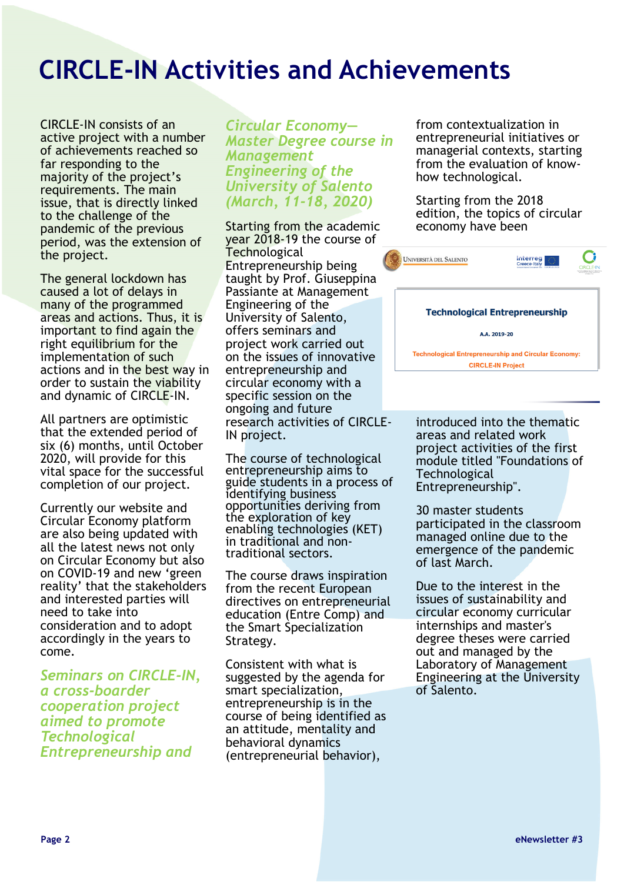### **CIRCLE-IN Activities and Achievements**

CIRCLE-IN consists of an active project with a number of achievements reached so far responding to the majority of the project's requirements. The main issue, that is directly linked to the challenge of the pandemic of the previous period, was the extension of the project.

The general lockdown has caused a lot of delays in many of the programmed areas and actions. Thus, it is important to find again the right equilibrium for the implementation of such actions and in the best way in order to sustain the viability and dynamic of CIRCLE-IN.

All partners are optimistic that the extended period of six (6) months, until October 2020, will provide for this vital space for the successful completion of our project.

Currently our website and Circular Economy platform are also being updated with all the latest news not only on Circular Economy but also on COVID-19 and new 'green reality' that the stakeholders and interested parties will need to take into consideration and to adopt accordingly in the years to come.

*Seminars on CIRCLE-IN, a cross-boarder cooperation project aimed to promote Technological Entrepreneurship and* 

*Circular Economy— Master Degree course in Management Engineering of the University of Salento (March, 11-18, 2020)*

Starting from the academic year 2018-19 the course of **Technological** Entrepreneurship being taught by Prof. Giuseppina Passiante at Management Engineering of the University of Salento, offers seminars and project work carried out on the issues of innovative entrepreneurship and circular economy with a specific session on the ongoing and future research activities of CIRCLE-IN project.

The course of technological entrepreneurship aims to guide students in a process of identifying business opportunities deriving from the exploration of key enabling technologies (KET) in traditional and nontraditional sectors.

The course draws inspiration from the recent European directives on entrepreneurial education (Entre Comp) and the Smart Specialization Strategy.

Consistent with what is suggested by the agenda for smart specialization, entrepreneurship is in the course of being identified as an attitude, mentality and behavioral dynamics (entrepreneurial behavior),

from contextualization in entrepreneurial initiatives or managerial contexts, starting from the evaluation of knowhow technological.

Starting from the 2018 edition, the topics of circular economy have been



introduced into the thematic areas and related work project activities of the first module titled "Foundations of **Technological** Entrepreneurship".

30 master students participated in the classroom managed online due to the emergence of the pandemic of last March.

Due to the interest in the issues of sustainability and circular economy curricular internships and master's degree theses were carried out and managed by the Laboratory of Management Engineering at the University of Salento.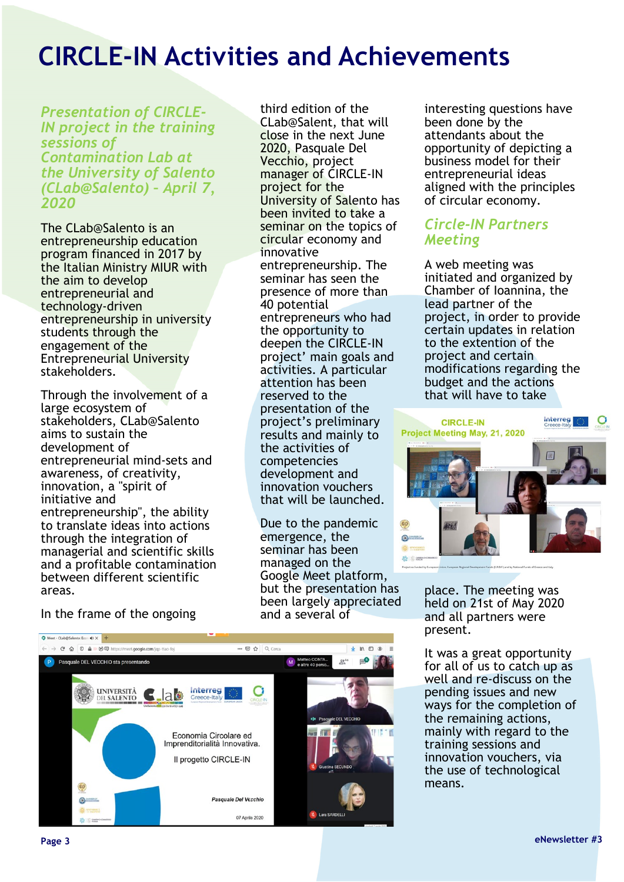## **CIRCLE-IN Activities and Achievements**

*Presentation of CIRCLE-IN project in the training sessions of Contamination Lab at the University of Salento (CLab@Salento) – April 7, 2020*

The CLab@Salento is an entrepreneurship education program financed in 2017 by the Italian Ministry MIUR with the aim to develop entrepreneurial and technology-driven entrepreneurship in university students through the engagement of the Entrepreneurial University stakeholders.

Through the involvement of a large ecosystem of stakeholders, CLab@Salento aims to sustain the development of entrepreneurial mind-sets and awareness, of creativity, innovation, a "spirit of initiative and entrepreneurship", the ability to translate ideas into actions through the integration of managerial and scientific skills and a profitable contamination between different scientific areas.

In the frame of the ongoing

third edition of the CLab@Salent, that will close in the next June 2020, Pasquale Del Vecchio, project manager of CIRCLE-IN project for the University of Salento has been invited to take a seminar on the topics of circular economy and innovative entrepreneurship. The seminar has seen the presence of more than 40 potential entrepreneurs who had the opportunity to deepen the CIRCLE-IN project' main goals and activities. A particular attention has been reserved to the presentation of the project's preliminary results and mainly to the activities of competencies development and innovation vouchers that will be launched.

Due to the pandemic emergence, the seminar has been managed on the Google Meet platform, but the presentation has been largely appreciated and a several of



interesting questions have been done by the attendants about the opportunity of depicting a business model for their entrepreneurial ideas aligned with the principles of circular economy.

#### *Circle-IN Partners Meeting*

A web meeting was initiated and organized by Chamber of Ioannina, the lead partner of the project, in order to provide certain updates in relation to the extention of the project and certain modifications regarding the budget and the actions that will have to take



place. The meeting was held on 21st of May 2020 and all partners were present.

It was a great opportunity for all of us to catch up as well and re-discuss on the pending issues and new ways for the completion of the remaining actions, mainly with regard to the training sessions and innovation vouchers, via the use of technological means.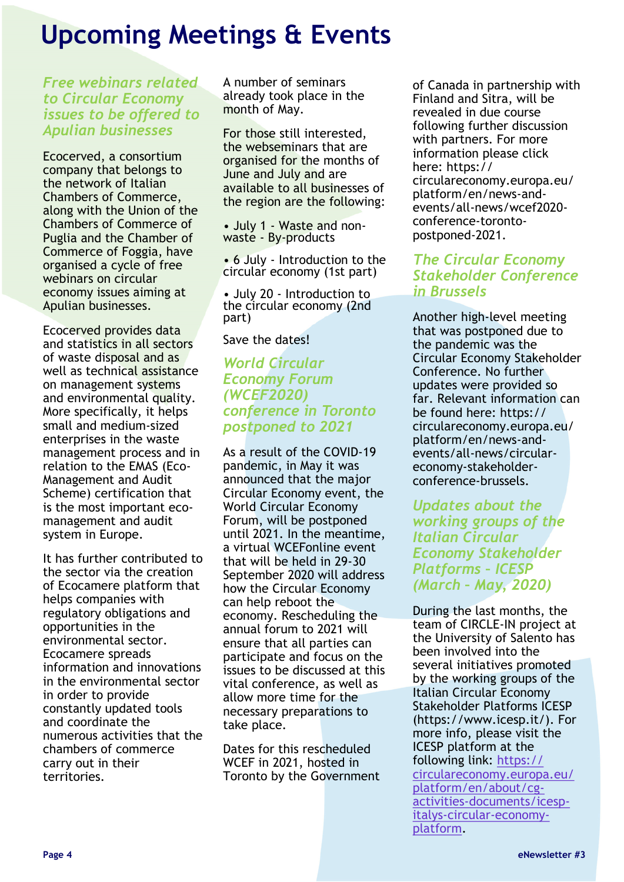### <span id="page-3-0"></span>**Upcoming Meetings & Events**

*Free webinars related to Circular Economy issues to be offered to Apulian businesses* 

Ecocerved, a consortium company that belongs to the network of Italian Chambers of Commerce, along with the Union of the Chambers of Commerce of Puglia and the Chamber of Commerce of Foggia, have organised a cycle of free webinars on circular economy issues aiming at Apulian businesses.

Ecocerved provides data and statistics in all sectors of waste disposal and as well as technical assistance on management systems and environmental quality. More specifically, it helps small and medium-sized enterprises in the waste management process and in relation to the EMAS (Eco-Management and Audit Scheme) certification that is the most important ecomanagement and audit system in Europe.

It has further contributed to the sector via the creation of Ecocamere platform that helps companies with regulatory obligations and opportunities in the environmental sector. Ecocamere spreads information and innovations in the environmental sector in order to provide constantly updated tools and coordinate the numerous activities that the chambers of commerce carry out in their territories.

A number of seminars already took place in the month of May.

For those still interested, the webseminars that are organised for the months of June and July and are available to all businesses of the region are the following:

• July 1 - Waste and nonwaste - By-products

• 6 July - Introduction to the circular economy (1st part)

• July 20 - Introduction to the circular economy (2nd part)

Save the dates!

#### *World Circular Economy Forum (WCEF2020) conference in Toronto postponed to 2021*

As a result of the COVID-19 pandemic, in May it was announced that the major Circular Economy event, the World Circular Economy Forum, will be postponed until 2021. In the meantime, a virtual WCEFonline event that will be held in 29-30 September 2020 will address how the Circular Economy can help reboot the economy. Rescheduling the annual forum to 2021 will ensure that all parties can participate and focus on the issues to be discussed at this vital conference, as well as allow more time for the necessary preparations to take place.

Dates for this rescheduled WCEF in 2021, hosted in Toronto by the Government of Canada in partnership with Finland and Sitra, will be revealed in due course following further discussion with partners. For more information please click here: https:// circulareconomy.europa.eu/ platform/en/news-andevents/all-news/wcef2020 conference-torontopostponed-2021.

#### *The Circular Economy Stakeholder Conference in Brussels*

Another high-level meeting that was postponed due to the pandemic was the Circular Economy Stakeholder Conference. No further updates were provided so far. Relevant information can be found here: https:// circulareconomy.europa.eu/ platform/en/news-andevents/all-news/circulareconomy-stakeholderconference-brussels.

*Updates about the working groups of the Italian Circular Economy Stakeholder Platforms – ICESP (March – May, 2020)* 

During the last months, the team of CIRCLE-IN project at the University of Salento has been involved into the several initiatives promoted by the working groups of the Italian Circular Economy Stakeholder Platforms ICESP (https://www.icesp.it/). For more info, please visit the ICESP platform at the following link: [https://](#page-3-0) [circulareconomy.europa.eu/](#page-3-0) [platform/en/about/cg](#page-3-0)activities-[documents/icesp](#page-3-0)italys-circular-[economy](#page-3-0)[platform.](#page-3-0)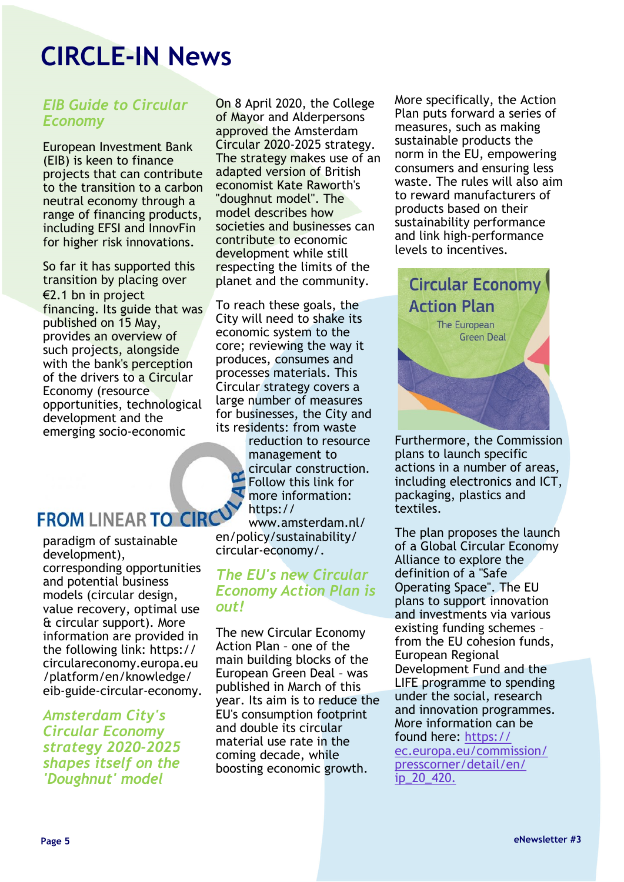# <span id="page-4-0"></span>**CIRCLE-IN News**

### *EIB Guide to Circular Economy*

European Investment Bank (EIB) is keen to finance projects that can contribute to the transition to a carbon neutral economy through a range of financing products, including EFSI and InnovFin for higher risk innovations.

So far it has supported this transition by placing over €2.1 bn in project financing. Its guide that was published on 15 May, provides an overview of such projects, alongside with the bank's perception of the drivers to a Circular Economy (resource opportunities, technological development and the emerging socio-economic

### **FROM LINEAR TO CIRC**

paradigm of sustainable development), corresponding opportunities and potential business models (circular design, value recovery, optimal use & circular support). More information are provided in the following link: https:// circulareconomy.europa.eu /platform/en/knowledge/ eib-guide-circular-economy.

*Amsterdam City's Circular Economy strategy 2020-2025 shapes itself on the 'Doughnut' model*

On 8 April 2020, the College of Mayor and Alderpersons approved the Amsterdam Circular 2020-2025 strategy. The strategy makes use of an adapted version of British economist Kate Raworth's "doughnut model". The model describes how societies and businesses can contribute to economic development while still respecting the limits of the planet and the community.

To reach these goals, the City will need to shake its economic system to the core; reviewing the way it produces, consumes and processes materials. This Circular strategy covers a large number of measures for businesses, the City and its residents: from waste

> reduction to resource management to circular construction. Follow this link for more information: https://

www.amsterdam.nl/ en/policy/sustainability/ circular-economy/.

#### *The EU's new Circular Economy Action Plan is out!*

The new Circular Economy Action Plan – one of the main building blocks of the European Green Deal – was published in March of this year. Its aim is to reduce the EU's consumption footprint and double its circular material use rate in the coming decade, while boosting economic growth.

More specifically, the Action Plan puts forward a series of measures, such as making sustainable products the norm in the EU, empowering consumers and ensuring less waste. The rules will also aim to reward manufacturers of products based on their sustainability performance and link high-performance levels to incentives.



Furthermore, the Commission plans to launch specific actions in a number of areas, including electronics and ICT, packaging, plastics and textiles.

The plan proposes the launch of a Global Circular Economy Alliance to explore the definition of a "Safe Operating Space". The EU plans to support innovation and investments via various existing funding schemes – from the EU cohesion funds, European Regional Development Fund and the LIFE programme to spending under the social, research and innovation programmes. More information can be found here: [https://](#page-4-0) [ec.europa.eu/commission/](#page-4-0) [presscorner/detail/en/](#page-4-0) [ip\\_20\\_420.](#page-4-0)